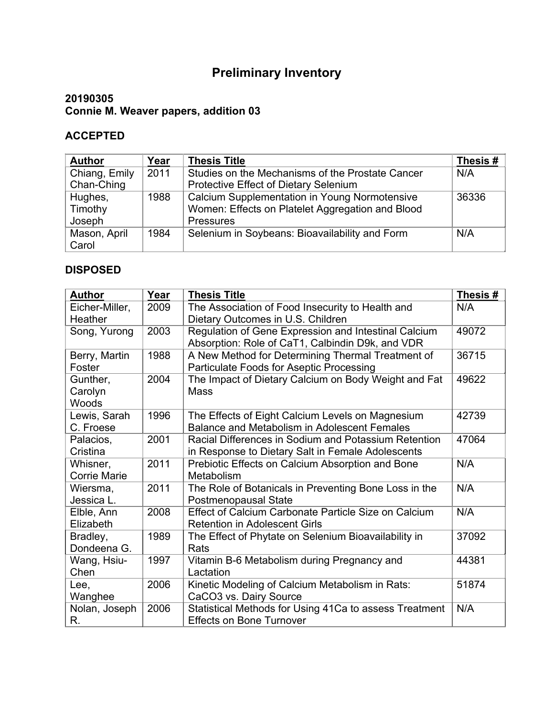## **Preliminary Inventory**

## **20190305 Connie M. Weaver papers, addition 03**

## **ACCEPTED**

| <b>Author</b> | Year | <b>Thesis Title</b>                              | Thesis# |
|---------------|------|--------------------------------------------------|---------|
| Chiang, Emily | 2011 | Studies on the Mechanisms of the Prostate Cancer | N/A     |
| Chan-Ching    |      | Protective Effect of Dietary Selenium            |         |
| Hughes,       | 1988 | Calcium Supplementation in Young Normotensive    | 36336   |
| Timothy       |      | Women: Effects on Platelet Aggregation and Blood |         |
| Joseph        |      | <b>Pressures</b>                                 |         |
| Mason, April  | 1984 | Selenium in Soybeans: Bioavailability and Form   | N/A     |
| Carol         |      |                                                  |         |

## **DISPOSED**

| <b>Author</b>       | Year | <b>Thesis Title</b>                                    | Thesis# |
|---------------------|------|--------------------------------------------------------|---------|
| Eicher-Miller,      | 2009 | The Association of Food Insecurity to Health and       | N/A     |
| Heather             |      | Dietary Outcomes in U.S. Children                      |         |
| Song, Yurong        | 2003 | Regulation of Gene Expression and Intestinal Calcium   | 49072   |
|                     |      | Absorption: Role of CaT1, Calbindin D9k, and VDR       |         |
| Berry, Martin       | 1988 | A New Method for Determining Thermal Treatment of      | 36715   |
| Foster              |      | Particulate Foods for Aseptic Processing               |         |
| Gunther,            | 2004 | The Impact of Dietary Calcium on Body Weight and Fat   | 49622   |
| Carolyn             |      | <b>Mass</b>                                            |         |
| Woods               |      |                                                        |         |
| Lewis, Sarah        | 1996 | The Effects of Eight Calcium Levels on Magnesium       | 42739   |
| C. Froese           |      | <b>Balance and Metabolism in Adolescent Females</b>    |         |
| Palacios,           | 2001 | Racial Differences in Sodium and Potassium Retention   | 47064   |
| Cristina            |      | in Response to Dietary Salt in Female Adolescents      |         |
| Whisner,            | 2011 | Prebiotic Effects on Calcium Absorption and Bone       | N/A     |
| <b>Corrie Marie</b> |      | Metabolism                                             |         |
| Wiersma,            | 2011 | The Role of Botanicals in Preventing Bone Loss in the  | N/A     |
| Jessica L.          |      | <b>Postmenopausal State</b>                            |         |
| Elble, Ann          | 2008 | Effect of Calcium Carbonate Particle Size on Calcium   | N/A     |
| Elizabeth           |      | <b>Retention in Adolescent Girls</b>                   |         |
| Bradley,            | 1989 | The Effect of Phytate on Selenium Bioavailability in   | 37092   |
| Dondeena G.         |      | Rats                                                   |         |
| Wang, Hsiu-         | 1997 | Vitamin B-6 Metabolism during Pregnancy and            | 44381   |
| Chen                |      | Lactation                                              |         |
| Lee,                | 2006 | Kinetic Modeling of Calcium Metabolism in Rats:        | 51874   |
| Wanghee             |      | CaCO3 vs. Dairy Source                                 |         |
| Nolan, Joseph       | 2006 | Statistical Methods for Using 41Ca to assess Treatment | N/A     |
| R.                  |      | <b>Effects on Bone Turnover</b>                        |         |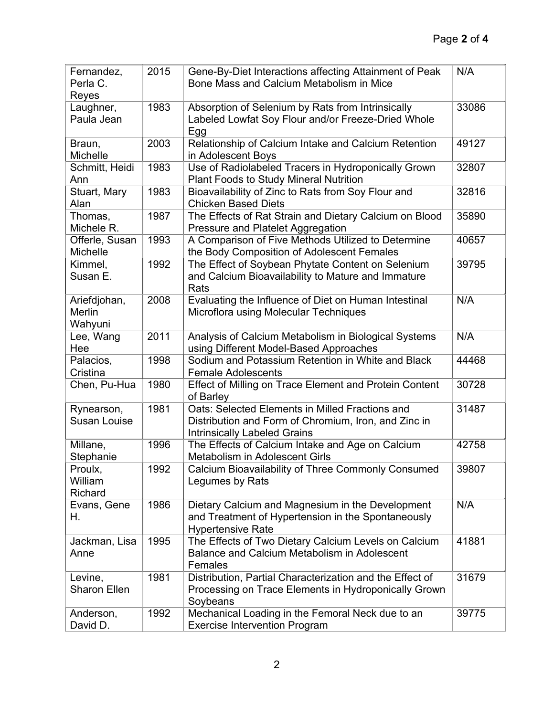| Fernandez,           | 2015 | Gene-By-Diet Interactions affecting Attainment of Peak                             | N/A   |
|----------------------|------|------------------------------------------------------------------------------------|-------|
| Perla C.             |      | Bone Mass and Calcium Metabolism in Mice                                           |       |
| Reyes                |      |                                                                                    |       |
| Laughner,            | 1983 | Absorption of Selenium by Rats from Intrinsically                                  | 33086 |
| Paula Jean           |      | Labeled Lowfat Soy Flour and/or Freeze-Dried Whole                                 |       |
|                      |      | Egg                                                                                |       |
| Braun,               | 2003 | Relationship of Calcium Intake and Calcium Retention                               | 49127 |
| Michelle             |      | in Adolescent Boys                                                                 |       |
| Schmitt, Heidi       | 1983 | Use of Radiolabeled Tracers in Hydroponically Grown                                | 32807 |
| Ann                  |      | <b>Plant Foods to Study Mineral Nutrition</b>                                      | 32816 |
| Stuart, Mary<br>Alan | 1983 | Bioavailability of Zinc to Rats from Soy Flour and<br><b>Chicken Based Diets</b>   |       |
| Thomas,              | 1987 | The Effects of Rat Strain and Dietary Calcium on Blood                             | 35890 |
| Michele R.           |      | Pressure and Platelet Aggregation                                                  |       |
| Offerle, Susan       | 1993 | A Comparison of Five Methods Utilized to Determine                                 | 40657 |
| Michelle             |      | the Body Composition of Adolescent Females                                         |       |
| Kimmel,              | 1992 | The Effect of Soybean Phytate Content on Selenium                                  | 39795 |
| Susan E.             |      | and Calcium Bioavailability to Mature and Immature                                 |       |
|                      |      | Rats                                                                               |       |
| Ariefdjohan,         | 2008 | Evaluating the Influence of Diet on Human Intestinal                               | N/A   |
| Merlin               |      | Microflora using Molecular Techniques                                              |       |
| Wahyuni              |      |                                                                                    |       |
| Lee, Wang            | 2011 | Analysis of Calcium Metabolism in Biological Systems                               | N/A   |
| Hee                  |      | using Different Model-Based Approaches                                             |       |
| Palacios,            | 1998 | Sodium and Potassium Retention in White and Black                                  | 44468 |
| Cristina             |      | <b>Female Adolescents</b>                                                          |       |
| Chen, Pu-Hua         | 1980 | Effect of Milling on Trace Element and Protein Content                             | 30728 |
|                      |      | of Barley                                                                          |       |
| Rynearson,           | 1981 | Oats: Selected Elements in Milled Fractions and                                    | 31487 |
| <b>Susan Louise</b>  |      | Distribution and Form of Chromium, Iron, and Zinc in                               |       |
|                      |      | <b>Intrinsically Labeled Grains</b>                                                |       |
| Millane,             | 1996 | The Effects of Calcium Intake and Age on Calcium<br>Metabolism in Adolescent Girls | 42758 |
| Stephanie<br>Proulx, | 1992 | Calcium Bioavailability of Three Commonly Consumed                                 | 39807 |
| William              |      | Legumes by Rats                                                                    |       |
| Richard              |      |                                                                                    |       |
| Evans, Gene          | 1986 | Dietary Calcium and Magnesium in the Development                                   | N/A   |
| Η.                   |      | and Treatment of Hypertension in the Spontaneously                                 |       |
|                      |      | <b>Hypertensive Rate</b>                                                           |       |
| Jackman, Lisa        | 1995 | The Effects of Two Dietary Calcium Levels on Calcium                               | 41881 |
| Anne                 |      | Balance and Calcium Metabolism in Adolescent                                       |       |
|                      |      | Females                                                                            |       |
| Levine,              | 1981 | Distribution, Partial Characterization and the Effect of                           | 31679 |
| <b>Sharon Ellen</b>  |      | Processing on Trace Elements in Hydroponically Grown                               |       |
|                      |      | Soybeans                                                                           |       |
| Anderson,            | 1992 | Mechanical Loading in the Femoral Neck due to an                                   | 39775 |
| David D.             |      | <b>Exercise Intervention Program</b>                                               |       |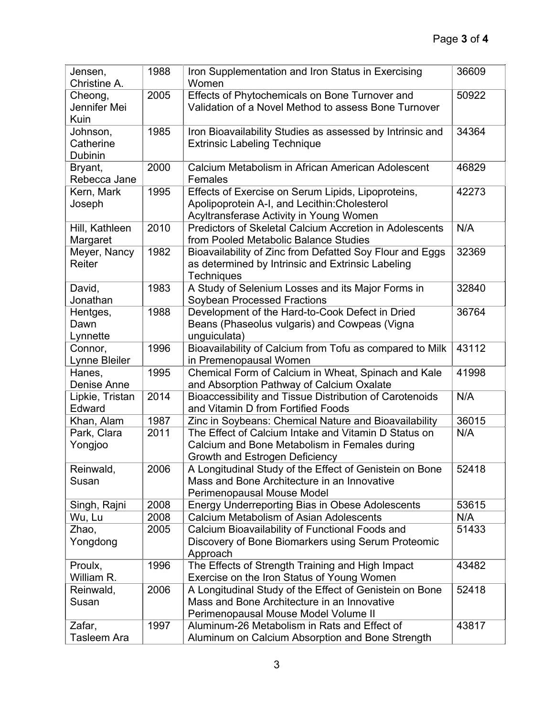| Jensen,         | 1988 | Iron Supplementation and Iron Status in Exercising             | 36609 |
|-----------------|------|----------------------------------------------------------------|-------|
| Christine A.    |      | Women                                                          |       |
| Cheong,         | 2005 | Effects of Phytochemicals on Bone Turnover and                 | 50922 |
| Jennifer Mei    |      | Validation of a Novel Method to assess Bone Turnover           |       |
| Kuin            |      |                                                                |       |
| Johnson,        | 1985 | Iron Bioavailability Studies as assessed by Intrinsic and      | 34364 |
| Catherine       |      | <b>Extrinsic Labeling Technique</b>                            |       |
| <b>Dubinin</b>  |      |                                                                |       |
| Bryant,         | 2000 | Calcium Metabolism in African American Adolescent              | 46829 |
| Rebecca Jane    |      | Females                                                        |       |
| Kern, Mark      | 1995 | Effects of Exercise on Serum Lipids, Lipoproteins,             | 42273 |
| Joseph          |      | Apolipoprotein A-I, and Lecithin: Cholesterol                  |       |
|                 |      | Acyltransferase Activity in Young Women                        |       |
| Hill, Kathleen  | 2010 | <b>Predictors of Skeletal Calcium Accretion in Adolescents</b> | N/A   |
| Margaret        |      | from Pooled Metabolic Balance Studies                          |       |
| Meyer, Nancy    | 1982 | Bioavailability of Zinc from Defatted Soy Flour and Eggs       | 32369 |
| Reiter          |      | as determined by Intrinsic and Extrinsic Labeling              |       |
|                 |      | <b>Techniques</b>                                              |       |
| David,          | 1983 | A Study of Selenium Losses and its Major Forms in              | 32840 |
| Jonathan        |      | Soybean Processed Fractions                                    |       |
| Hentges,        | 1988 | Development of the Hard-to-Cook Defect in Dried                | 36764 |
| Dawn            |      | Beans (Phaseolus vulgaris) and Cowpeas (Vigna                  |       |
| Lynnette        |      | unguiculata)                                                   |       |
| Connor,         | 1996 | Bioavailability of Calcium from Tofu as compared to Milk       | 43112 |
| Lynne Bleiler   |      | in Premenopausal Women                                         |       |
| Hanes,          | 1995 | Chemical Form of Calcium in Wheat, Spinach and Kale            | 41998 |
| Denise Anne     |      | and Absorption Pathway of Calcium Oxalate                      |       |
| Lipkie, Tristan | 2014 | Bioaccessibility and Tissue Distribution of Carotenoids        | N/A   |
| Edward          |      | and Vitamin D from Fortified Foods                             |       |
| Khan, Alam      | 1987 | Zinc in Soybeans: Chemical Nature and Bioavailability          | 36015 |
| Park, Clara     | 2011 | The Effect of Calcium Intake and Vitamin D Status on           | N/A   |
| Yongjoo         |      | Calcium and Bone Metabolism in Females during                  |       |
|                 |      | Growth and Estrogen Deficiency                                 |       |
| Reinwald,       | 2006 | A Longitudinal Study of the Effect of Genistein on Bone        | 52418 |
| Susan           |      | Mass and Bone Architecture in an Innovative                    |       |
|                 |      | Perimenopausal Mouse Model                                     |       |
| Singh, Rajni    | 2008 | Energy Underreporting Bias in Obese Adolescents                | 53615 |
| Wu, Lu          | 2008 | Calcium Metabolism of Asian Adolescents                        | N/A   |
| Zhao,           | 2005 | Calcium Bioavailability of Functional Foods and                | 51433 |
| Yongdong        |      | Discovery of Bone Biomarkers using Serum Proteomic             |       |
|                 |      | Approach                                                       |       |
| Proulx,         | 1996 | The Effects of Strength Training and High Impact               | 43482 |
| William R.      |      | Exercise on the Iron Status of Young Women                     |       |
| Reinwald,       | 2006 | A Longitudinal Study of the Effect of Genistein on Bone        | 52418 |
| Susan           |      | Mass and Bone Architecture in an Innovative                    |       |
|                 |      | Perimenopausal Mouse Model Volume II                           |       |
| Zafar,          | 1997 | Aluminum-26 Metabolism in Rats and Effect of                   | 43817 |
| Tasleem Ara     |      | Aluminum on Calcium Absorption and Bone Strength               |       |